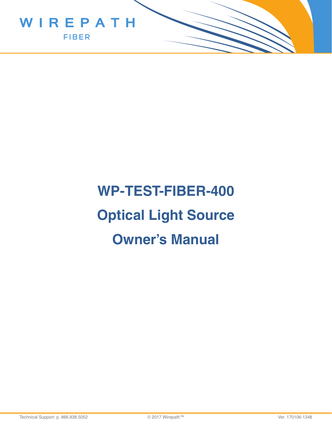

# **WP-TEST-FIBER-400 Optical Light Source Owner's Manual**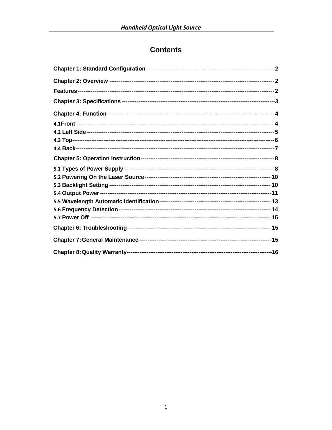## **Contents**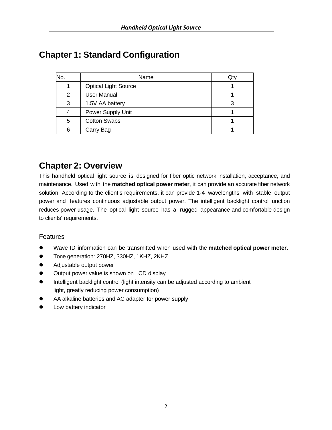# **Chapter 1: Standard Configuration**

| No. | Name                        | Qty |
|-----|-----------------------------|-----|
|     | <b>Optical Light Source</b> |     |
| 2   | <b>User Manual</b>          |     |
| 3   | 1.5V AA battery             |     |
| 4   | Power Supply Unit           |     |
| 5   | <b>Cotton Swabs</b>         |     |
| 6   | Carry Bag                   |     |

# **Chapter 2: Overview**

This handheld optical light source is designed for fiber optic network installation, acceptance, and maintenance. Used with the **matched optical power meter**, it can provide an accurate fiber network solution. According to the client's requirements, it can provide 1-4 wavelengths with stable output power and features continuous adjustable output power. The intelligent backlight control function reduces power usage. The optical light source has a rugged appearance and comfortable design to clients' requirements.

#### **Features**

- Wave ID information can be transmitted when used with the **matched optical power meter**.
- Tone generation: 270HZ, 330HZ, 1KHZ, 2KHZ
- Adjustable output power
- Output power value is shown on LCD display
- Intelligent backlight control (light intensity can be adjusted according to ambient light, greatly reducing power consumption)
- AA alkaline batteries and AC adapter for power supply
- **•** Low battery indicator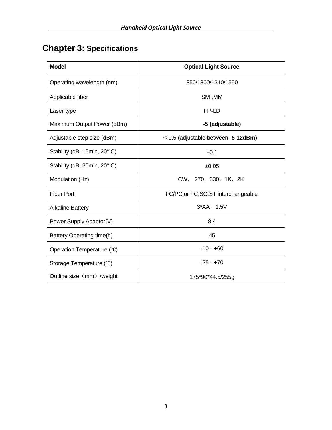# **Chapter 3: Specifications**

| <b>Model</b>                | <b>Optical Light Source</b>              |  |
|-----------------------------|------------------------------------------|--|
| Operating wavelength (nm)   | 850/1300/1310/1550                       |  |
| Applicable fiber            | SM, MM                                   |  |
| Laser type                  | FP-LD                                    |  |
| Maximum Output Power (dBm)  | -5 (adjustable)                          |  |
| Adjustable step size (dBm)  | $\leq$ 0.5 (adjustable between -5-12dBm) |  |
| Stability (dB, 15min, 20°C) | ±0.1                                     |  |
| Stability (dB, 30min, 20°C) | ±0.05                                    |  |
| Modulation (Hz)             | CW, 270, 330, 1K, 2K                     |  |
| <b>Fiber Port</b>           | FC/PC or FC, SC, ST interchangeable      |  |
| <b>Alkaline Battery</b>     | $3*AA, 1.5V$                             |  |
| Power Supply Adaptor(V)     | 8.4                                      |  |
| Battery Operating time(h)   | 45                                       |  |
| Operation Temperature (°C)  | $-10 - +60$                              |  |
| Storage Temperature (°C)    | $-25 - +70$                              |  |
| Outline size (mm) /weight   | 175*90*44.5/255g                         |  |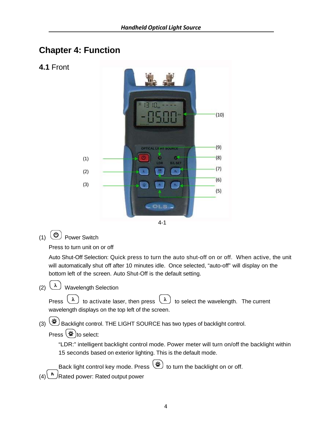## **Chapter 4: Function**

**4.1** Front



$$
-4-1
$$

(1) Power Switch

Press to turn unit on or off

Auto Shut-Off Selection: Quick press to turn the auto shut-off on or off. When active, the unit will automatically shut off after 10 minutes idle. Once selected, "auto-off" will display on the bottom left of the screen. Auto Shut-Off is the default setting.

(2)  $(\lambda)$  Wavelength Selection

Press  $\begin{pmatrix} \lambda \end{pmatrix}$  to activate laser, then press  $\begin{pmatrix} \lambda \end{pmatrix}$  to select the wavelength. The current wavelength displays on the top left of the screen.

(3) (登) Backlight control. THE LIGHT SOURCE has two types of backlight control.

Press  $(*)$  to select:

"LDR:" intelligent backlight control mode. Power meter will turn on/off the backlight within 15 seconds based on exterior lighting. This is the default mode.

Back light control key mode. Press  $(*)$  to turn the backlight on or off.

 $(4)$ <sup>( $\frac{R}{2}$ </sup>Rated power: Rated output power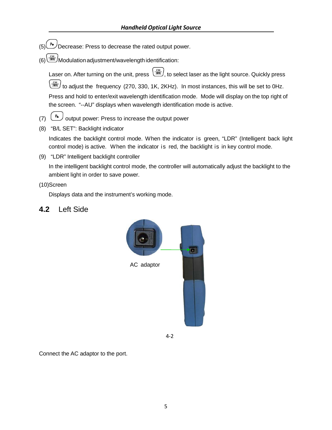- $(5)$ <sup>( $\rightarrow$ </sup>) Decrease: Press to decrease the rated output power.
- (6)  $\boxed{\frac{cw}{dm}}$ Modulation adjustment/wavelength identification:

Laser on. After turning on the unit, press  $\left(\frac{cw}{dm}\right)$ , to select laser as the light source. Quickly press to adjust the frequency (270, 330, 1K, 2KHz). In most instances, this will be set to 0Hz. Press and hold to enter/exit wavelength identification mode. Mode will display on the top right of the screen. "--AU" displays when wavelength identification mode is active.

- (7)  $\left(\begin{array}{c} \mathbb{P}_{\bullet} \end{array}\right)$  output power: Press to increase the output power
- (8) "B/L SET": Backlight indicator

Indicates the backlight control mode. When the indicator is green, "LDR" (Intelligent back light control mode) is active. When the indicator is red, the backlight is in key control mode.

(9) "LDR" Intelligent backlight controller

In the intelligent backlight control mode, the controller will automatically adjust the backlight to the ambient light in order to save power.

#### (10)Screen

Displays data and the instrument's working mode.

#### **4.2** Left Side



4‐2

Connect the AC adaptor to the port.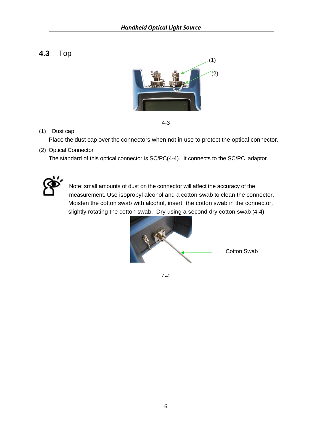**4.3** Top



$$
4-3
$$

(1) Dust cap

Place the dust cap over the connectors when not in use to protect the optical connector.

(2) Optical Connector

The standard of this optical connector is SC/PC(4-4). It connects to the SC/PC adaptor.



Note: small amounts of dust on the connector will affect the accuracy of the measurement. Use isopropyl alcohol and a cotton swab to clean the connector. Moisten the cotton swab with alcohol, insert the cotton swab in the connector, slightly rotating the cotton swab. Dry using a second dry cotton swab (4-4).



4-4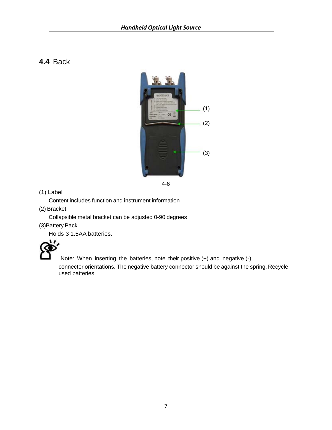## **4.4** Back



4-6

(1) Label

Content includes function and instrument information

(2) Bracket

Collapsible metal bracket can be adjusted 0-90 degrees

(3)Battery Pack

Holds 3 1.5AA batteries.



Note: When inserting the batteries, note their positive (+) and negative (-)

connector orientations. The negative battery connector should be against the spring. Recycle used batteries.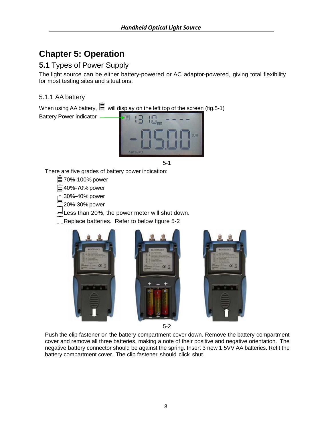# **Chapter 5: Operation**

#### **5.1** Types of Power Supply

The light source can be either battery-powered or AC adaptor-powered, giving total flexibility for most testing sites and situations.

#### 5.1.1 AA battery

When using AA battery,  $\equiv$  will display on the left top of the screen (fig.5-1) Battery Power indicator



5-1

There are five grades of battery power indication:

**E**70%-100% power

**E**40%-70% power

 $\Box$ 30%-40% power

20%-30% power

Less than 20%, the power meter will shut down.

 $\lfloor$  Replace batteries. Refer to below figure 5-2







5-2

Push the clip fastener on the battery compartment cover down. Remove the battery compartment cover and remove all three batteries, making a note of their positive and negative orientation. The negative battery connector should be against the spring. Insert 3 new 1.5VV AA batteries. Refit the battery compartment cover. The clip fastener should click shut.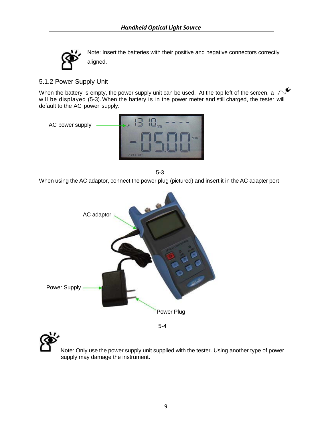

Note: Insert the batteries with their positive and negative connectors correctly aligned.

#### 5.1.2 Power Supply Unit

When the battery is empty, the power supply unit can be used. At the top left of the screen, a  $\triangle$ will be displayed (5-3). When the battery is in the power meter and still charged, the tester will default to the AC power supply.



5-3

When using the AC adaptor, connect the power plug (pictured) and insert it in the AC adapter port



Note: Only use the power supply unit supplied with the tester. Using another type of power supply may damage the instrument.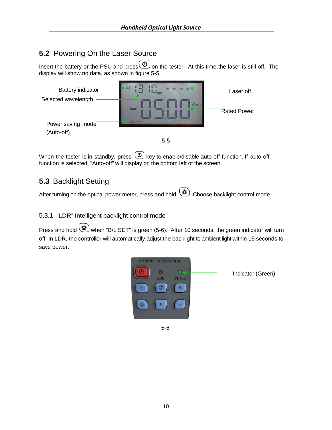## **5.2** Powering On the Laser Source

Insert the battery or the PSU and press  $\bigcirc$  on the tester. At this time the laser is still off. The display will show no data, as shown in figure 5-5.



When the tester is in standby, press  $\circledcirc$  key to enable/disable auto-off function. If auto-off function is selected, "Auto-off" will display on the bottom left of the screen.

## **5.3** Backlight Setting

After turning on the optical power meter, press and hold  $(*)$  Choose backlight control mode.

#### 5.3.1 "LDR" Intelligent backlight control mode

Press and hold when "B/L SET" is green (5-6). After 10 seconds, the green indicator will turn off. In LDR, the controller will automatically adjust the backlight to ambient light within 15 seconds to save power.



5-6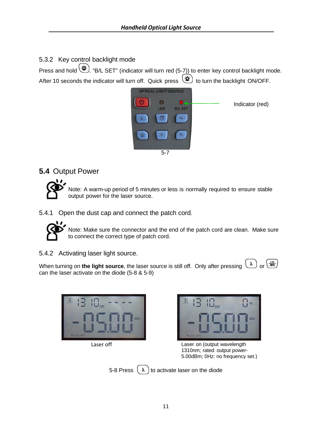5.3.2 Key control backlight mode

**Press and hold . "B/L SET"** (indicator will turn red (5-7)) to enter key control backlight mode. After 10 seconds the indicator will turn off. Quick press  $\circledast$  to turn the backlight ON/OFF.



## **5.4** Output Power



Note: A warm-up period of 5 minutes or less is normally required to ensure stable output power for the laser source.

5.4.1 Open the dust cap and connect the patch cord.



Note: Make sure the connector and the end of the patch cord are clean. Make sure to connect the correct type of patch cord.

5.4.2 Activating laser light source.

When turning on the light source, the laser source is still off. Only after pressing  $(\lambda)$  or  $\left(\frac{cw}{mc}\right)$ can the laser activate on the diode (5-8 & 5-9)







Laser off Laser on (output wavelength 1310nm; rated output power-5.00dBm; 0Hz: no frequency set.)

| -8 Press |  |
|----------|--|

5-8 Press  $\begin{pmatrix} \lambda \end{pmatrix}$  to activate laser on the diode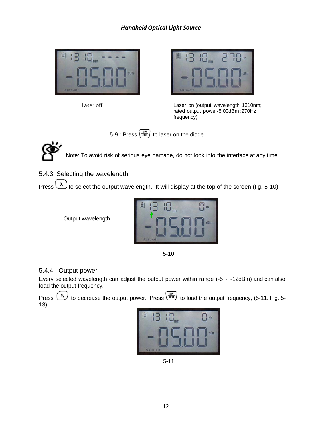

Laser off



Laser on (output wavelength 1310nm; rated output power-5.00dBm; 270Hz frequency)





Note: To avoid risk of serious eye damage, do not look into the interface at any time

5.4.3 Selecting the wavelength

Press  $\begin{pmatrix} \lambda \\ \end{pmatrix}$  to select the output wavelength. It will display at the top of the screen (fig. 5-10)



5-10

#### 5.4.4 Output power

Every selected wavelength can adjust the output power within range (-5 - -12dBm) and can also load the output frequency.

Press  $\left(\begin{array}{c} \sqrt{P_{\bullet}} \end{array}\right)$  to decrease the output power. Press  $\left(\begin{array}{c} \sqrt{\alpha} \\ \sqrt{P_{\bullet}} \end{array}\right)$  to load the output frequency, (5-11. Fig. 5-13)



5-11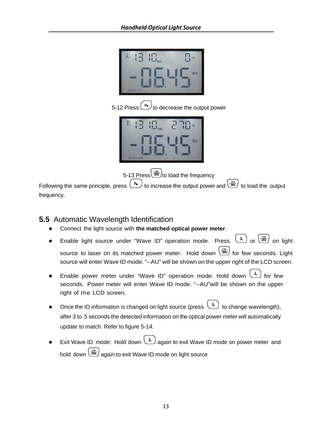

5-12 Press  $\left(\begin{array}{c} \mathbb{R}^{\bullet} \end{array}\right)$  to decrease the output power



5-13 Press  $\frac{c_w}{\sqrt{m}}$  to load the frequency

Following the same principle, press  $\binom{P_{\mathbf{a}}}{P_{\mathbf{a}}}$  to increase the output power and  $\binom{C_W}{P_{\mathbf{a}}}$  to load the output frequency.

#### **5.5** Automatic Wavelength Identification

- Connect the light source with **the matched optical power meter**.
- Enable light source under "Wave ID" operation mode. Press  $\overline{(\lambda)}$  or  $\overline{(\frac{cw}{dm})}$  on light source to laser on its matched power meter. Hold down  $\begin{pmatrix} \frac{cw}{am} \end{pmatrix}$  for few seconds. Light source will enter Wave ID mode. "--AU" will be shown on the upper right of the LCD screen.
- Enable power meter under "Wave ID" operation mode: Hold down  $\begin{pmatrix} \lambda \\ \end{pmatrix}$  for few seconds. Power meter will enter Wave ID mode. "--AU"will be shown on the upper right of the LCD screen.
- Once the ID information is changed on light source (press  $\boxed{\lambda}$  to change wavelength), after 3 to 5 seconds the detected information on the optical power meter will automatically update to match. Refer to figure 5-14.
- Exit Wave ID mode: Hold down  $\Omega$  again to exit Wave ID mode on power meter and hold down  $\left(\frac{cw}{am}\right)$  again to exit Wave ID mode on light source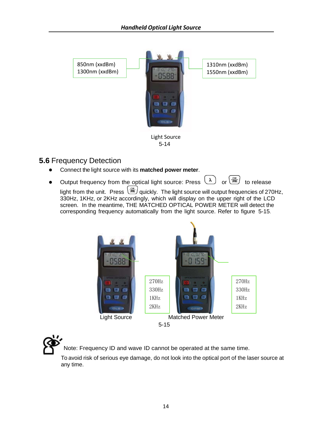

## **5.6** Frequency Detection

- Connect the light source with its **matched power meter**.
- Output frequency from the optical light source: Press  $\left(\lambda\right)$  or  $\left(\frac{cw}{dm}\right)$  to release

light from the unit. Press  $\boxed{\frac{\text{cm}}{\text{cm}}}$  quickly. The light source will output frequencies of 270Hz, 330Hz, 1KHz, or 2KHz accordingly, which will display on the upper right of the LCD screen. In the meantime, THE MATCHED OPTICAL POWER METER will detect the corresponding frequency automatically from the light source. Refer to figure 5-15.





Note: Frequency ID and wave ID cannot be operated at the same time.

To avoid risk of serious eye damage, do not look into the optical port of the laser source at any time.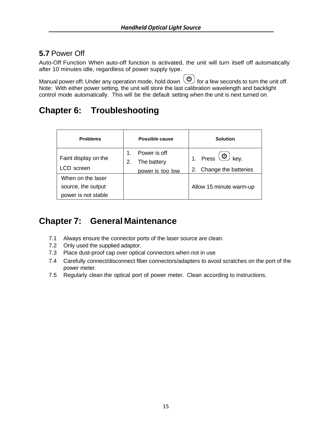## **5.7** Power Off

Auto-Off Function When auto-off function is activated, the unit will turn itself off automatically after 10 minutes idle, regardless of power supply type.

Manual power off: Under any operation mode, hold down  $\left(\bigcup_{i=1}^{\infty}\right)$  for a few seconds to turn the unit off. Note: With either power setting, the unit will store the last calibration wavelength and backlight control mode automatically. This will be the default setting when the unit is next turned on.

# **Chapter 6: Troubleshooting**

| <b>Problems</b>      | Possible cause    | Solution                                                       |
|----------------------|-------------------|----------------------------------------------------------------|
|                      | Power is off      |                                                                |
| Faint display on the | The battery<br>2. | Press $\left(\begin{array}{c}\omega\end{array}\right)$<br>kev. |
| LCD screen           | power is too low  | 2. Change the batteries                                        |
| When on the laser    |                   |                                                                |
| source, the output   |                   | Allow 15 minute warm-up                                        |
| power is not stable  |                   |                                                                |

## **Chapter 7: General Maintenance**

- 7.1 Always ensure the connector ports of the laser source are clean.
- 7.2 Only used the supplied adaptor.
- 7.3 Place dust-proof cap over optical connectors when not in use
- 7.4 Carefully connect/disconnect fiber connectors/adapters to avoid scratches on the port of the power meter.
- 7.5 Regularly clean the optical port of power meter. Clean according to instructions.